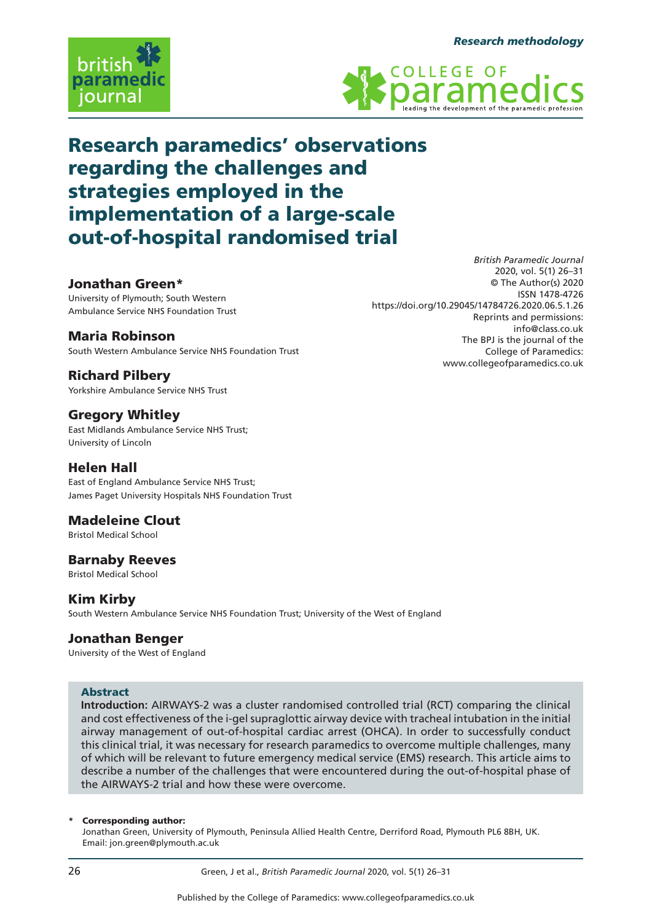*British Paramedic Journal*





# Research paramedics' observations regarding the challenges and strategies employed in the implementation of a large-scale out-of-hospital randomised trial

# Jonathan Green\*

University of Plymouth; South Western Ambulance Service NHS Foundation Trust

# Maria Robinson

South Western Ambulance Service NHS Foundation Trust

# Richard Pilbery

Yorkshire Ambulance Service NHS Trust

# **Gregory Whitley**

East Midlands Ambulance Service NHS Trust; University of Lincoln

# Helen Hall

East of England Ambulance Service NHS Trust; James Paget University Hospitals NHS Foundation Trust

# Madeleine Clout

Bristol Medical School

# Barnaby Reeves

Bristol Medical School

# Kim Kirby

South Western Ambulance Service NHS Foundation Trust; University of the West of England

# Jonathan Benger

University of the West of England

# Abstract

**Introduction:** AIRWAYS-2 was a cluster randomised controlled trial (RCT) comparing the clinical and cost effectiveness of the i-gel supraglottic airway device with tracheal intubation in the initial airway management of out-of-hospital cardiac arrest (OHCA). In order to successfully conduct this clinical trial, it was necessary for research paramedics to overcome multiple challenges, many of which will be relevant to future emergency medical service (EMS) research. This article aims to describe a number of the challenges that were encountered during the out-of-hospital phase of the AIRWAYS-2 trial and how these were overcome.

#### Corresponding author:

Jonathan Green, University of Plymouth, Peninsula Allied Health Centre, Derriford Road, Plymouth PL6 8BH, UK. Email: jon.green@plymouth.ac.uk

2020, vol. 5(1) 26–31 © The Author(s) 2020 ISSN 1478-4726 https://doi.org/10.29045/14784726.2020.06.5.1.26 Reprints and permissions: info@class.co.uk The BPJ is the journal of the College of Paramedics: www.collegeofparamedics.co.uk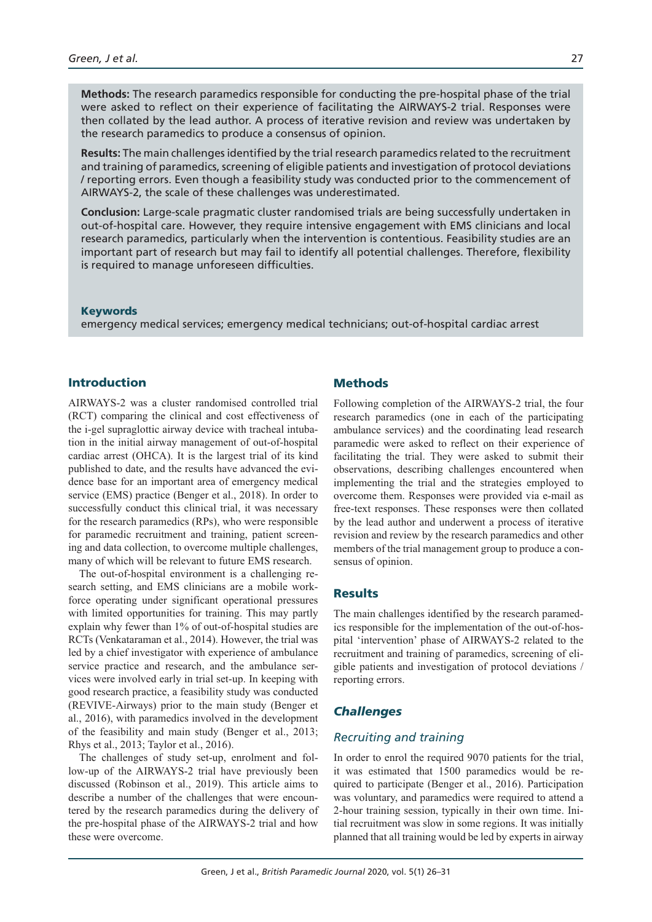**Methods:** The research paramedics responsible for conducting the pre-hospital phase of the trial were asked to reflect on their experience of facilitating the AIRWAYS-2 trial. Responses were then collated by the lead author. A process of iterative revision and review was undertaken by the research paramedics to produce a consensus of opinion.

**Results:** The main challenges identified by the trial research paramedics related to the recruitment and training of paramedics, screening of eligible patients and investigation of protocol deviations / reporting errors. Even though a feasibility study was conducted prior to the commencement of AIRWAYS-2, the scale of these challenges was underestimated.

**Conclusion:** Large-scale pragmatic cluster randomised trials are being successfully undertaken in out-of-hospital care. However, they require intensive engagement with EMS clinicians and local research paramedics, particularly when the intervention is contentious. Feasibility studies are an important part of research but may fail to identify all potential challenges. Therefore, flexibility is required to manage unforeseen difficulties.

#### Keywords

emergency medical services; emergency medical technicians; out-of-hospital cardiac arrest

## Introduction

AIRWAYS-2 was a cluster randomised controlled trial (RCT) comparing the clinical and cost effectiveness of the i-gel supraglottic airway device with tracheal intubation in the initial airway management of out-of-hospital cardiac arrest (OHCA). It is the largest trial of its kind published to date, and the results have advanced the evidence base for an important area of emergency medical service (EMS) practice (Benger et al., 2018). In order to successfully conduct this clinical trial, it was necessary for the research paramedics (RPs), who were responsible for paramedic recruitment and training, patient screening and data collection, to overcome multiple challenges, many of which will be relevant to future EMS research.

The out-of-hospital environment is a challenging research setting, and EMS clinicians are a mobile workforce operating under significant operational pressures with limited opportunities for training. This may partly explain why fewer than 1% of out-of-hospital studies are RCTs (Venkataraman et al., 2014). However, the trial was led by a chief investigator with experience of ambulance service practice and research, and the ambulance services were involved early in trial set-up. In keeping with good research practice, a feasibility study was conducted (REVIVE-Airways) prior to the main study (Benger et al., 2016), with paramedics involved in the development of the feasibility and main study (Benger et al., 2013; Rhys et al., 2013; Taylor et al., 2016).

The challenges of study set-up, enrolment and follow-up of the AIRWAYS-2 trial have previously been discussed (Robinson et al., 2019). This article aims to describe a number of the challenges that were encountered by the research paramedics during the delivery of the pre-hospital phase of the AIRWAYS-2 trial and how these were overcome.

#### **Methods**

Following completion of the AIRWAYS-2 trial, the four research paramedics (one in each of the participating ambulance services) and the coordinating lead research paramedic were asked to reflect on their experience of facilitating the trial. They were asked to submit their observations, describing challenges encountered when implementing the trial and the strategies employed to overcome them. Responses were provided via e-mail as free-text responses. These responses were then collated by the lead author and underwent a process of iterative revision and review by the research paramedics and other members of the trial management group to produce a consensus of opinion.

#### **Results**

The main challenges identified by the research paramedics responsible for the implementation of the out-of-hospital 'intervention' phase of AIRWAYS-2 related to the recruitment and training of paramedics, screening of eligible patients and investigation of protocol deviations / reporting errors.

## *Challenges*

#### *Recruiting and training*

In order to enrol the required 9070 patients for the trial, it was estimated that 1500 paramedics would be required to participate (Benger et al., 2016). Participation was voluntary, and paramedics were required to attend a 2-hour training session, typically in their own time. Initial recruitment was slow in some regions. It was initially planned that all training would be led by experts in airway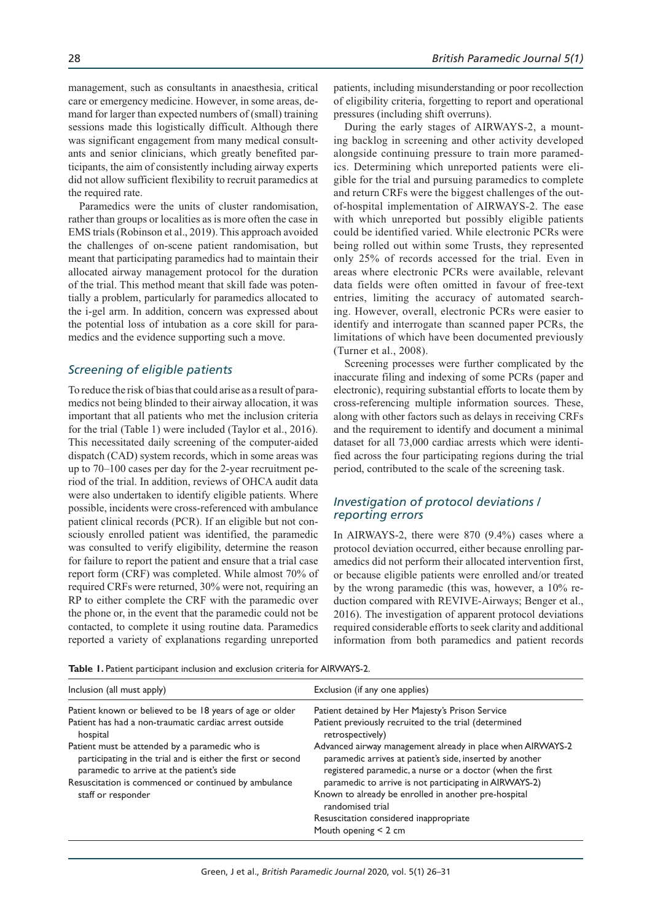management, such as consultants in anaesthesia, critical care or emergency medicine. However, in some areas, demand for larger than expected numbers of (small) training sessions made this logistically difficult. Although there was significant engagement from many medical consultants and senior clinicians, which greatly benefited participants, the aim of consistently including airway experts did not allow sufficient flexibility to recruit paramedics at the required rate.

Paramedics were the units of cluster randomisation, rather than groups or localities as is more often the case in EMS trials (Robinson et al., 2019). This approach avoided the challenges of on-scene patient randomisation, but meant that participating paramedics had to maintain their allocated airway management protocol for the duration of the trial. This method meant that skill fade was potentially a problem, particularly for paramedics allocated to the i-gel arm. In addition, concern was expressed about the potential loss of intubation as a core skill for paramedics and the evidence supporting such a move.

#### *Screening of eligible patients*

To reduce the risk of bias that could arise as a result of paramedics not being blinded to their airway allocation, it was important that all patients who met the inclusion criteria for the trial (Table 1) were included (Taylor et al., 2016). This necessitated daily screening of the computer-aided dispatch (CAD) system records, which in some areas was up to 70–100 cases per day for the 2-year recruitment period of the trial. In addition, reviews of OHCA audit data were also undertaken to identify eligible patients. Where possible, incidents were cross-referenced with ambulance patient clinical records (PCR). If an eligible but not consciously enrolled patient was identified, the paramedic was consulted to verify eligibility, determine the reason for failure to report the patient and ensure that a trial case report form (CRF) was completed. While almost 70% of required CRFs were returned, 30% were not, requiring an RP to either complete the CRF with the paramedic over the phone or, in the event that the paramedic could not be contacted, to complete it using routine data. Paramedics reported a variety of explanations regarding unreported patients, including misunderstanding or poor recollection of eligibility criteria, forgetting to report and operational pressures (including shift overruns).

During the early stages of AIRWAYS-2, a mounting backlog in screening and other activity developed alongside continuing pressure to train more paramedics. Determining which unreported patients were eligible for the trial and pursuing paramedics to complete and return CRFs were the biggest challenges of the outof-hospital implementation of AIRWAYS-2. The ease with which unreported but possibly eligible patients could be identified varied. While electronic PCRs were being rolled out within some Trusts, they represented only 25% of records accessed for the trial. Even in areas where electronic PCRs were available, relevant data fields were often omitted in favour of free-text entries, limiting the accuracy of automated searching. However, overall, electronic PCRs were easier to identify and interrogate than scanned paper PCRs, the limitations of which have been documented previously (Turner et al., 2008).

Screening processes were further complicated by the inaccurate filing and indexing of some PCRs (paper and electronic), requiring substantial efforts to locate them by cross-referencing multiple information sources. These, along with other factors such as delays in receiving CRFs and the requirement to identify and document a minimal dataset for all 73,000 cardiac arrests which were identified across the four participating regions during the trial period, contributed to the scale of the screening task.

#### *Investigation of protocol deviations / reporting errors*

In AIRWAYS-2, there were 870 (9.4%) cases where a protocol deviation occurred, either because enrolling paramedics did not perform their allocated intervention first, or because eligible patients were enrolled and/or treated by the wrong paramedic (this was, however, a 10% reduction compared with REVIVE-Airways; Benger et al., 2016). The investigation of apparent protocol deviations required considerable efforts to seek clarity and additional information from both paramedics and patient records

Table 1. Patient participant inclusion and exclusion criteria for AIRWAYS-2.

| Inclusion (all must apply)                                                                                                                                  | Exclusion (if any one applies)                                                                                                                                                      |
|-------------------------------------------------------------------------------------------------------------------------------------------------------------|-------------------------------------------------------------------------------------------------------------------------------------------------------------------------------------|
| Patient known or believed to be 18 years of age or older                                                                                                    | Patient detained by Her Majesty's Prison Service                                                                                                                                    |
| Patient has had a non-traumatic cardiac arrest outside<br>hospital                                                                                          | Patient previously recruited to the trial (determined<br>retrospectively)                                                                                                           |
| Patient must be attended by a paramedic who is<br>participating in the trial and is either the first or second<br>paramedic to arrive at the patient's side | Advanced airway management already in place when AIRWAYS-2<br>paramedic arrives at patient's side, inserted by another<br>registered paramedic, a nurse or a doctor (when the first |
| Resuscitation is commenced or continued by ambulance<br>staff or responder                                                                                  | paramedic to arrive is not participating in AIRWAYS-2)<br>Known to already be enrolled in another pre-hospital<br>randomised trial                                                  |
|                                                                                                                                                             | Resuscitation considered inappropriate<br>Mouth opening $<$ 2 cm                                                                                                                    |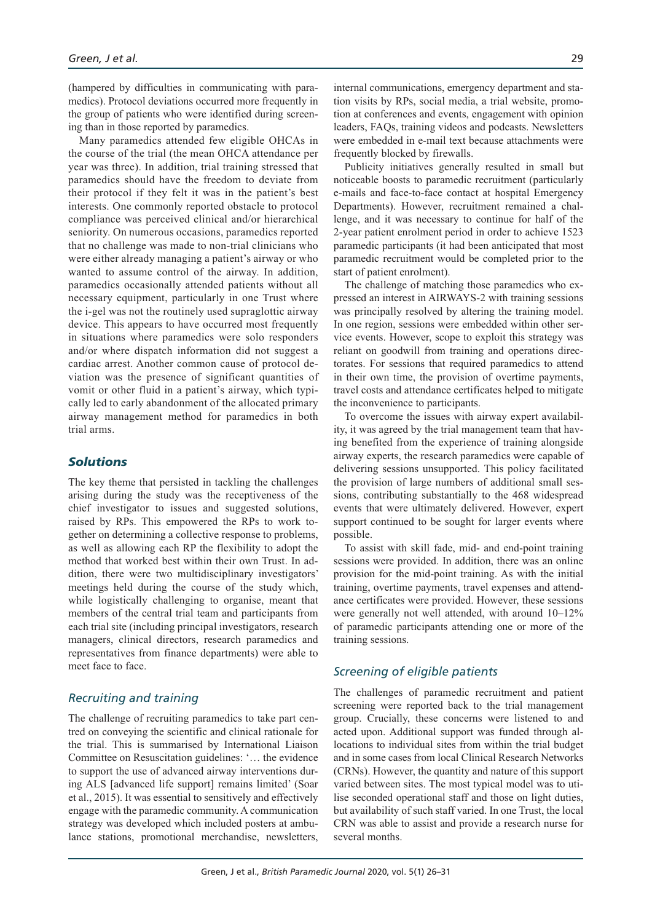(hampered by difficulties in communicating with paramedics). Protocol deviations occurred more frequently in the group of patients who were identified during screening than in those reported by paramedics.

Many paramedics attended few eligible OHCAs in the course of the trial (the mean OHCA attendance per year was three). In addition, trial training stressed that paramedics should have the freedom to deviate from their protocol if they felt it was in the patient's best interests. One commonly reported obstacle to protocol compliance was perceived clinical and/or hierarchical seniority. On numerous occasions, paramedics reported that no challenge was made to non-trial clinicians who were either already managing a patient's airway or who wanted to assume control of the airway. In addition, paramedics occasionally attended patients without all necessary equipment, particularly in one Trust where the i-gel was not the routinely used supraglottic airway device. This appears to have occurred most frequently in situations where paramedics were solo responders and/or where dispatch information did not suggest a cardiac arrest. Another common cause of protocol deviation was the presence of significant quantities of vomit or other fluid in a patient's airway, which typically led to early abandonment of the allocated primary airway management method for paramedics in both trial arms.

## *Solutions*

The key theme that persisted in tackling the challenges arising during the study was the receptiveness of the chief investigator to issues and suggested solutions, raised by RPs. This empowered the RPs to work together on determining a collective response to problems, as well as allowing each RP the flexibility to adopt the method that worked best within their own Trust. In addition, there were two multidisciplinary investigators' meetings held during the course of the study which, while logistically challenging to organise, meant that members of the central trial team and participants from each trial site (including principal investigators, research managers, clinical directors, research paramedics and representatives from finance departments) were able to meet face to face.

# *Recruiting and training*

The challenge of recruiting paramedics to take part centred on conveying the scientific and clinical rationale for the trial. This is summarised by International Liaison Committee on Resuscitation guidelines: '… the evidence to support the use of advanced airway interventions during ALS [advanced life support] remains limited' (Soar et al., 2015). It was essential to sensitively and effectively engage with the paramedic community. A communication strategy was developed which included posters at ambulance stations, promotional merchandise, newsletters,

internal communications, emergency department and station visits by RPs, social media, a trial website, promotion at conferences and events, engagement with opinion leaders, FAQs, training videos and podcasts. Newsletters were embedded in e-mail text because attachments were frequently blocked by firewalls.

Publicity initiatives generally resulted in small but noticeable boosts to paramedic recruitment (particularly e-mails and face-to-face contact at hospital Emergency Departments). However, recruitment remained a challenge, and it was necessary to continue for half of the 2-year patient enrolment period in order to achieve 1523 paramedic participants (it had been anticipated that most paramedic recruitment would be completed prior to the start of patient enrolment).

The challenge of matching those paramedics who expressed an interest in AIRWAYS-2 with training sessions was principally resolved by altering the training model. In one region, sessions were embedded within other service events. However, scope to exploit this strategy was reliant on goodwill from training and operations directorates. For sessions that required paramedics to attend in their own time, the provision of overtime payments, travel costs and attendance certificates helped to mitigate the inconvenience to participants.

To overcome the issues with airway expert availability, it was agreed by the trial management team that having benefited from the experience of training alongside airway experts, the research paramedics were capable of delivering sessions unsupported. This policy facilitated the provision of large numbers of additional small sessions, contributing substantially to the 468 widespread events that were ultimately delivered. However, expert support continued to be sought for larger events where possible.

To assist with skill fade, mid- and end-point training sessions were provided. In addition, there was an online provision for the mid-point training. As with the initial training, overtime payments, travel expenses and attendance certificates were provided. However, these sessions were generally not well attended, with around 10–12% of paramedic participants attending one or more of the training sessions.

# *Screening of eligible patients*

The challenges of paramedic recruitment and patient screening were reported back to the trial management group. Crucially, these concerns were listened to and acted upon. Additional support was funded through allocations to individual sites from within the trial budget and in some cases from local Clinical Research Networks (CRNs). However, the quantity and nature of this support varied between sites. The most typical model was to utilise seconded operational staff and those on light duties, but availability of such staff varied. In one Trust, the local CRN was able to assist and provide a research nurse for several months.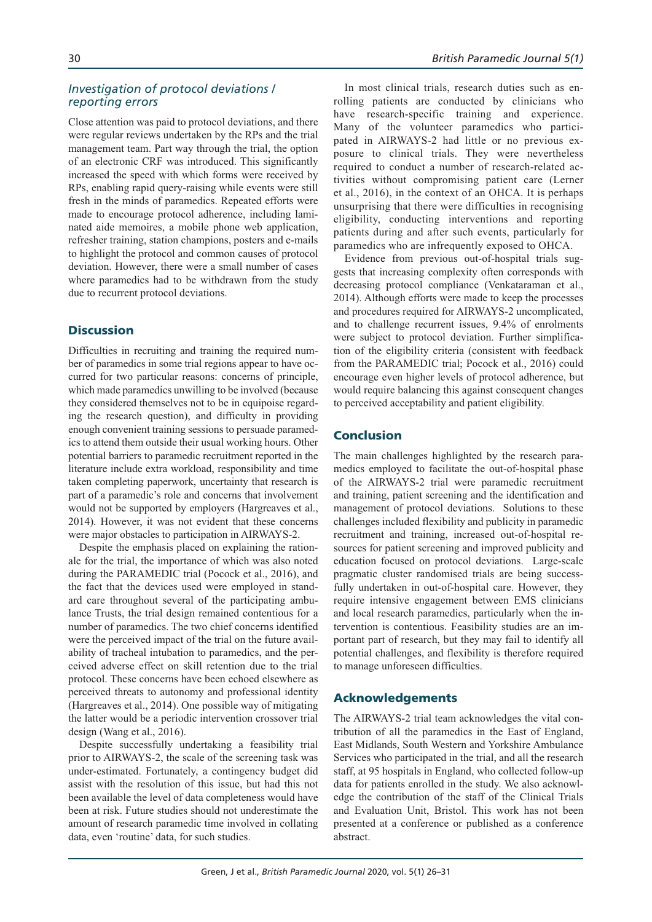## *Investigation of protocol deviations / reporting errors*

Close attention was paid to protocol deviations, and there were regular reviews undertaken by the RPs and the trial management team. Part way through the trial, the option of an electronic CRF was introduced. This significantly increased the speed with which forms were received by RPs, enabling rapid query-raising while events were still fresh in the minds of paramedics. Repeated efforts were made to encourage protocol adherence, including laminated aide memoires, a mobile phone web application, refresher training, station champions, posters and e-mails to highlight the protocol and common causes of protocol deviation. However, there were a small number of cases where paramedics had to be withdrawn from the study due to recurrent protocol deviations.

# **Discussion**

Difficulties in recruiting and training the required number of paramedics in some trial regions appear to have occurred for two particular reasons: concerns of principle, which made paramedics unwilling to be involved (because they considered themselves not to be in equipoise regarding the research question), and difficulty in providing enough convenient training sessions to persuade paramedics to attend them outside their usual working hours. Other potential barriers to paramedic recruitment reported in the literature include extra workload, responsibility and time taken completing paperwork, uncertainty that research is part of a paramedic's role and concerns that involvement would not be supported by employers (Hargreaves et al., 2014). However, it was not evident that these concerns were major obstacles to participation in AIRWAYS-2.

Despite the emphasis placed on explaining the rationale for the trial, the importance of which was also noted during the PARAMEDIC trial (Pocock et al., 2016), and the fact that the devices used were employed in standard care throughout several of the participating ambulance Trusts, the trial design remained contentious for a number of paramedics. The two chief concerns identified were the perceived impact of the trial on the future availability of tracheal intubation to paramedics, and the perceived adverse effect on skill retention due to the trial protocol. These concerns have been echoed elsewhere as perceived threats to autonomy and professional identity (Hargreaves et al., 2014). One possible way of mitigating the latter would be a periodic intervention crossover trial design (Wang et al., 2016).

Despite successfully undertaking a feasibility trial prior to AIRWAYS-2, the scale of the screening task was under-estimated. Fortunately, a contingency budget did assist with the resolution of this issue, but had this not been available the level of data completeness would have been at risk. Future studies should not underestimate the amount of research paramedic time involved in collating data, even 'routine' data, for such studies.

In most clinical trials, research duties such as enrolling patients are conducted by clinicians who have research-specific training and experience. Many of the volunteer paramedics who participated in AIRWAYS-2 had little or no previous exposure to clinical trials. They were nevertheless required to conduct a number of research-related activities without compromising patient care (Lerner et al., 2016), in the context of an OHCA. It is perhaps unsurprising that there were difficulties in recognising eligibility, conducting interventions and reporting patients during and after such events, particularly for paramedics who are infrequently exposed to OHCA.

Evidence from previous out-of-hospital trials suggests that increasing complexity often corresponds with decreasing protocol compliance (Venkataraman et al., 2014). Although efforts were made to keep the processes and procedures required for AIRWAYS-2 uncomplicated, and to challenge recurrent issues, 9.4% of enrolments were subject to protocol deviation. Further simplification of the eligibility criteria (consistent with feedback from the PARAMEDIC trial; Pocock et al., 2016) could encourage even higher levels of protocol adherence, but would require balancing this against consequent changes to perceived acceptability and patient eligibility.

# Conclusion

The main challenges highlighted by the research paramedics employed to facilitate the out-of-hospital phase of the AIRWAYS-2 trial were paramedic recruitment and training, patient screening and the identification and management of protocol deviations. Solutions to these challenges included flexibility and publicity in paramedic recruitment and training, increased out-of-hospital resources for patient screening and improved publicity and education focused on protocol deviations. Large-scale pragmatic cluster randomised trials are being successfully undertaken in out-of-hospital care. However, they require intensive engagement between EMS clinicians and local research paramedics, particularly when the intervention is contentious. Feasibility studies are an important part of research, but they may fail to identify all potential challenges, and flexibility is therefore required to manage unforeseen difficulties.

## Acknowledgements

The AIRWAYS-2 trial team acknowledges the vital contribution of all the paramedics in the East of England, East Midlands, South Western and Yorkshire Ambulance Services who participated in the trial, and all the research staff, at 95 hospitals in England, who collected follow-up data for patients enrolled in the study. We also acknowledge the contribution of the staff of the Clinical Trials and Evaluation Unit, Bristol. This work has not been presented at a conference or published as a conference abstract.